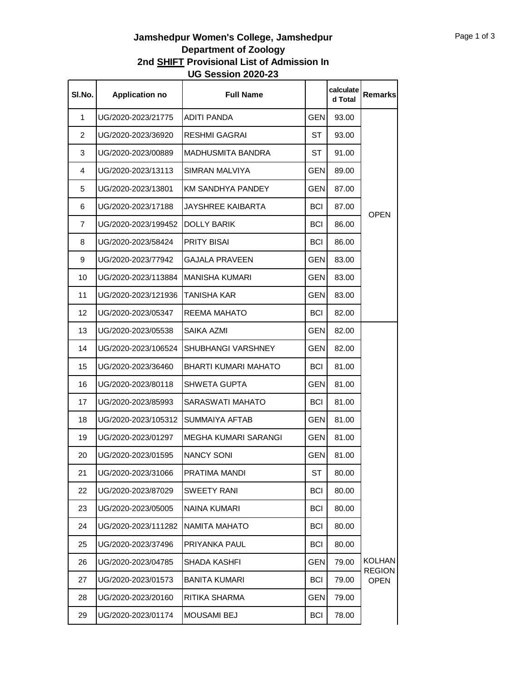## **Jamshedpur Women's College, Jamshedpur Department of Zoology 2nd SHIFT Provisional List of Admission In UG Session 2020-23**

| SI.No. | <b>Application no</b> | <b>Full Name</b>         |            | calculate<br>d Total | <b>Remarks</b>               |
|--------|-----------------------|--------------------------|------------|----------------------|------------------------------|
| 1      | UG/2020-2023/21775    | <b>ADITI PANDA</b>       | <b>GEN</b> | 93.00                |                              |
| 2      | UG/2020-2023/36920    | RESHMI GAGRAI            | ST         | 93.00                |                              |
| 3      | UG/2020-2023/00889    | <b>MADHUSMITA BANDRA</b> | ST         | 91.00                |                              |
| 4      | UG/2020-2023/13113    | SIMRAN MALVIYA           | GEN        | 89.00                |                              |
| 5      | UG/2020-2023/13801    | <b>KM SANDHYA PANDEY</b> | <b>GEN</b> | 87.00                |                              |
| 6      | UG/2020-2023/17188    | JAYSHREE KAIBARTA        | <b>BCI</b> | 87.00                |                              |
| 7      | UG/2020-2023/199452   | DOLLY BARIK              | BCI        | 86.00                | <b>OPEN</b>                  |
| 8      | UG/2020-2023/58424    | <b>PRITY BISAI</b>       | <b>BCI</b> | 86.00                |                              |
| 9      | UG/2020-2023/77942    | GAJALA PRAVEEN           | GEN        | 83.00                |                              |
| 10     | UG/2020-2023/113884   | MANISHA KUMARI           | <b>GEN</b> | 83.00                |                              |
| 11     | UG/2020-2023/121936   | TANISHA KAR              | GEN        | 83.00                |                              |
| 12     | UG/2020-2023/05347    | REEMA MAHATO             | <b>BCI</b> | 82.00                |                              |
| 13     | UG/2020-2023/05538    | <b>SAIKA AZMI</b>        | <b>GEN</b> | 82.00                |                              |
| 14     | UG/2020-2023/106524   | SHUBHANGI VARSHNEY       | <b>GEN</b> | 82.00                |                              |
| 15     | UG/2020-2023/36460    | BHARTI KUMARI MAHATO     | <b>BCI</b> | 81.00                |                              |
| 16     | UG/2020-2023/80118    | SHWETA GUPTA             | GEN        | 81.00                |                              |
| 17     | UG/2020-2023/85993    | SARASWATI MAHATO         | <b>BCI</b> | 81.00                |                              |
| 18     | UG/2020-2023/105312   | <b>SUMMAIYA AFTAB</b>    | GEN.       | 81.00                |                              |
| 19     | UG/2020-2023/01297    | MEGHA KUMARI SARANGI     | GEN.       | 81.00                |                              |
| 20     | UG/2020-2023/01595    | <b>NANCY SONI</b>        | GEN        | 81.00                |                              |
| 21     | UG/2020-2023/31066    | PRATIMA MANDI            | ST         | 80.00                |                              |
| 22     | UG/2020-2023/87029    | <b>SWEETY RANI</b>       | <b>BCI</b> | 80.00                |                              |
| 23     | UG/2020-2023/05005    | NAINA KUMARI             | <b>BCI</b> | 80.00                |                              |
| 24     | UG/2020-2023/111282   | <b>NAMITA MAHATO</b>     | BCI        | 80.00                |                              |
| 25     | UG/2020-2023/37496    | PRIYANKA PAUL            | <b>BCI</b> | 80.00                |                              |
| 26     | UG/2020-2023/04785    | SHADA KASHFI             | <b>GEN</b> | 79.00                | <b>KOLHAN</b>                |
| 27     | UG/2020-2023/01573    | <b>BANITA KUMARI</b>     | <b>BCI</b> | 79.00                | <b>REGION</b><br><b>OPEN</b> |
| 28     | UG/2020-2023/20160    | RITIKA SHARMA            | <b>GEN</b> | 79.00                |                              |
| 29     | UG/2020-2023/01174    | MOUSAMI BEJ              | <b>BCI</b> | 78.00                |                              |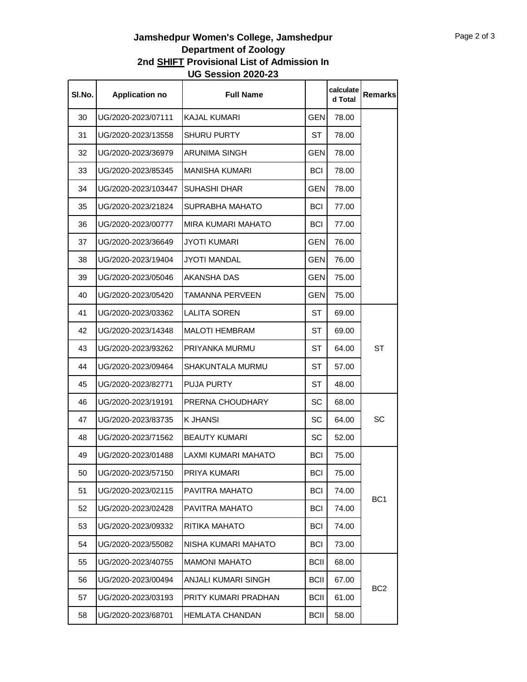## **Jamshedpur Women's College, Jamshedpur Department of Zoology 2nd SHIFT Provisional List of Admission In UG Session 2020-23**

| SI.No. | <b>Application no</b> | <b>Full Name</b>       |             | calculate<br>d Total | Remarks         |
|--------|-----------------------|------------------------|-------------|----------------------|-----------------|
| 30     | UG/2020-2023/07111    | <b>KAJAL KUMARI</b>    | <b>GEN</b>  | 78.00                |                 |
| 31     | UG/2020-2023/13558    | <b>SHURU PURTY</b>     | ST          | 78.00                |                 |
| 32     | UG/2020-2023/36979    | <b>ARUNIMA SINGH</b>   | <b>GEN</b>  | 78.00                |                 |
| 33     | UG/2020-2023/85345    | MANISHA KUMARI         | <b>BCI</b>  | 78.00                |                 |
| 34     | UG/2020-2023/103447   | <b>SUHASHI DHAR</b>    | <b>GEN</b>  | 78.00                |                 |
| 35     | UG/2020-2023/21824    | SUPRABHA MAHATO        | <b>BCI</b>  | 77.00                |                 |
| 36     | UG/2020-2023/00777    | MIRA KUMARI MAHATO     | <b>BCI</b>  | 77.00                |                 |
| 37     | UG/2020-2023/36649    | <b>JYOTI KUMARI</b>    | GEN         | 76.00                |                 |
| 38     | UG/2020-2023/19404    | <b>JYOTI MANDAL</b>    | <b>GEN</b>  | 76.00                |                 |
| 39     | UG/2020-2023/05046    | AKANSHA DAS            | <b>GEN</b>  | 75.00                |                 |
| 40     | UG/2020-2023/05420    | <b>TAMANNA PERVEEN</b> | <b>GEN</b>  | 75.00                |                 |
| 41     | UG/2020-2023/03362    | <b>LALITA SOREN</b>    | ST          | 69.00                |                 |
| 42     | UG/2020-2023/14348    | <b>MALOTI HEMBRAM</b>  | ST          | 69.00                | <b>ST</b>       |
| 43     | UG/2020-2023/93262    | PRIYANKA MURMU         | ST          | 64.00                |                 |
| 44     | UG/2020-2023/09464    | SHAKUNTALA MURMU       | ST          | 57.00                |                 |
| 45     | UG/2020-2023/82771    | <b>PUJA PURTY</b>      | ST          | 48.00                |                 |
| 46     | UG/2020-2023/19191    | PRERNA CHOUDHARY       | <b>SC</b>   | 68.00                |                 |
| 47     | UG/2020-2023/83735    | K JHANSI               | SC          | 64.00                | SC              |
| 48     | UG/2020-2023/71562    | <b>BEAUTY KUMARI</b>   | SC          | 52.00                |                 |
| 49     | UG/2020-2023/01488    | LAXMI KUMARI MAHATO    | <b>BCI</b>  | 75.00                |                 |
| 50     | UG/2020-2023/57150    | PRIYA KUMARI           | <b>BCI</b>  | 75.00                |                 |
| 51     | UG/2020-2023/02115    | PAVITRA MAHATO         | <b>BCI</b>  | 74.00                |                 |
| 52     | UG/2020-2023/02428    | PAVITRA MAHATO         | <b>BCI</b>  | 74.00                | BC <sub>1</sub> |
| 53     | UG/2020-2023/09332    | RITIKA MAHATO          | <b>BCI</b>  | 74.00                |                 |
| 54     | UG/2020-2023/55082    | NISHA KUMARI MAHATO    | <b>BCI</b>  | 73.00                |                 |
| 55     | UG/2020-2023/40755    | <b>MAMONI MAHATO</b>   | <b>BCII</b> | 68.00                |                 |
| 56     | UG/2020-2023/00494    | ANJALI KUMARI SINGH    | <b>BCII</b> | 67.00                | BC <sub>2</sub> |
| 57     | UG/2020-2023/03193    | PRITY KUMARI PRADHAN   | <b>BCII</b> | 61.00                |                 |
| 58     | UG/2020-2023/68701    | <b>HEMLATA CHANDAN</b> | <b>BCII</b> | 58.00                |                 |